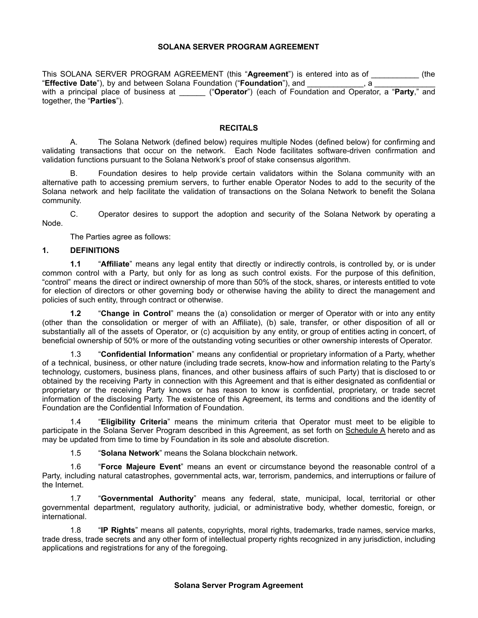## **SOLANA SERVER PROGRAM AGREEMENT**

This SOLANA SERVER PROGRAM AGREEMENT (this "**Agreement**") is entered into as of \_\_\_\_\_\_\_\_\_\_\_ (the "**Effective Date**"), by and between Solana Foundation ("**Foundation**"), and \_\_\_\_\_\_\_\_\_\_\_\_\_, a \_\_\_\_\_\_\_\_\_\_\_\_\_\_ with a principal place of business at *All all ("Operator")* (each of Foundation and Operator, a "**Party**," and together, the "**Parties**").

## **RECITALS**

A. The Solana Network (defined below) requires multiple Nodes (defined below) for confirming and validating transactions that occur on the network. Each Node facilitates software-driven confirmation and validation functions pursuant to the Solana Network's proof of stake consensus algorithm.

B. Foundation desires to help provide certain validators within the Solana community with an alternative path to accessing premium servers, to further enable Operator Nodes to add to the security of the Solana network and help facilitate the validation of transactions on the Solana Network to benefit the Solana community.

C. Operator desires to support the adoption and security of the Solana Network by operating a Node.

The Parties agree as follows:

## **1. DEFINITIONS**

**1.1** "**Affiliate**" means any legal entity that directly or indirectly controls, is controlled by, or is under common control with a Party, but only for as long as such control exists. For the purpose of this definition, "control" means the direct or indirect ownership of more than 50% of the stock, shares, or interests entitled to vote for election of directors or other governing body or otherwise having the ability to direct the management and policies of such entity, through contract or otherwise.

**1.2** "**Change in Control**" means the (a) consolidation or merger of Operator with or into any entity (other than the consolidation or merger of with an Affiliate), (b) sale, transfer, or other disposition of all or substantially all of the assets of Operator, or (c) acquisition by any entity, or group of entities acting in concert, of beneficial ownership of 50% or more of the outstanding voting securities or other ownership interests of Operator.

1.3 "**Confidential Information**" means any confidential or proprietary information of a Party, whether of a technical, business, or other nature (including trade secrets, know-how and information relating to the Party's technology, customers, business plans, finances, and other business affairs of such Party) that is disclosed to or obtained by the receiving Party in connection with this Agreement and that is either designated as confidential or proprietary or the receiving Party knows or has reason to know is confidential, proprietary, or trade secret information of the disclosing Party. The existence of this Agreement, its terms and conditions and the identity of Foundation are the Confidential Information of Foundation.

1.4 "**Eligibility Criteria**" means the minimum criteria that Operator must meet to be eligible to participate in the Solana Server Program described in this Agreement, as set forth on Schedule A hereto and as may be updated from time to time by Foundation in its sole and absolute discretion.

1.5 "**Solana Network**" means the Solana blockchain network.

1.6 "**Force Majeure Event**" means an event or circumstance beyond the reasonable control of a Party, including natural catastrophes, governmental acts, war, terrorism, pandemics, and interruptions or failure of the Internet.

1.7 "**Governmental Authority**" means any federal, state, municipal, local, territorial or other governmental department, regulatory authority, judicial, or administrative body, whether domestic, foreign, or international.

1.8 "**IP Rights**" means all patents, copyrights, moral rights, trademarks, trade names, service marks, trade dress, trade secrets and any other form of intellectual property rights recognized in any jurisdiction, including applications and registrations for any of the foregoing.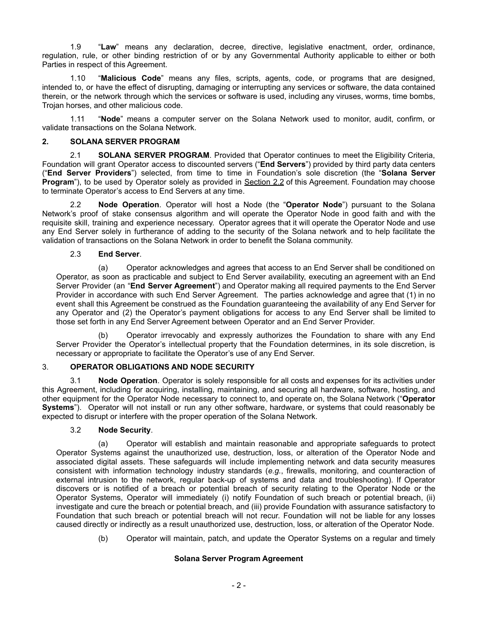1.9 "**Law**" means any declaration, decree, directive, legislative enactment, order, ordinance, regulation, rule, or other binding restriction of or by any Governmental Authority applicable to either or both Parties in respect of this Agreement.

1.10 "**Malicious Code**" means any files, scripts, agents, code, or programs that are designed, intended to, or have the effect of disrupting, damaging or interrupting any services or software, the data contained therein, or the network through which the services or software is used, including any viruses, worms, time bombs, Trojan horses, and other malicious code.

1.11 "**Node**" means a computer server on the Solana Network used to monitor, audit, confirm, or validate transactions on the Solana Network.

## **2. SOLANA SERVER PROGRAM**

2.1 **SOLANA SERVER PROGRAM**. Provided that Operator continues to meet the Eligibility Criteria, Foundation will grant Operator access to discounted servers ("**End Servers**") provided by third party data centers ("**End Server Providers**") selected, from time to time in Foundation's sole discretion (the "**Solana Server Program**"), to be used by Operator solely as provided in Section 2.2 of this Agreement. Foundation may choose to terminate Operator's access to End Servers at any time.

2.2 **Node Operation**. Operator will host a Node (the "**Operator Node**") pursuant to the Solana Network's proof of stake consensus algorithm and will operate the Operator Node in good faith and with the requisite skill, training and experience necessary. Operator agrees that it will operate the Operator Node and use any End Server solely in furtherance of adding to the security of the Solana network and to help facilitate the validation of transactions on the Solana Network in order to benefit the Solana community.

# 2.3 **End Server**.

(a) Operator acknowledges and agrees that access to an End Server shall be conditioned on Operator, as soon as practicable and subject to End Server availability, executing an agreement with an End Server Provider (an "**End Server Agreement**") and Operator making all required payments to the End Server Provider in accordance with such End Server Agreement. The parties acknowledge and agree that (1) in no event shall this Agreement be construed as the Foundation guaranteeing the availability of any End Server for any Operator and (2) the Operator's payment obligations for access to any End Server shall be limited to those set forth in any End Server Agreement between Operator and an End Server Provider.

(b) Operator irrevocably and expressly authorizes the Foundation to share with any End Server Provider the Operator's intellectual property that the Foundation determines, in its sole discretion, is necessary or appropriate to facilitate the Operator's use of any End Server.

# 3. **OPERATOR OBLIGATIONS AND NODE SECURITY**

3.1 **Node Operation**. Operator is solely responsible for all costs and expenses for its activities under this Agreement, including for acquiring, installing, maintaining, and securing all hardware, software, hosting, and other equipment for the Operator Node necessary to connect to, and operate on, the Solana Network ("**Operator Systems**"). Operator will not install or run any other software, hardware, or systems that could reasonably be expected to disrupt or interfere with the proper operation of the Solana Network.

# 3.2 **Node Security**.

(a) Operator will establish and maintain reasonable and appropriate safeguards to protect Operator Systems against the unauthorized use, destruction, loss, or alteration of the Operator Node and associated digital assets. These safeguards will include implementing network and data security measures consistent with information technology industry standards (*e.g.*, firewalls, monitoring, and counteraction of external intrusion to the network, regular back-up of systems and data and troubleshooting). If Operator discovers or is notified of a breach or potential breach of security relating to the Operator Node or the Operator Systems, Operator will immediately (i) notify Foundation of such breach or potential breach, (ii) investigate and cure the breach or potential breach, and (iii) provide Foundation with assurance satisfactory to Foundation that such breach or potential breach will not recur. Foundation will not be liable for any losses caused directly or indirectly as a result unauthorized use, destruction, loss, or alteration of the Operator Node.

(b) Operator will maintain, patch, and update the Operator Systems on a regular and timely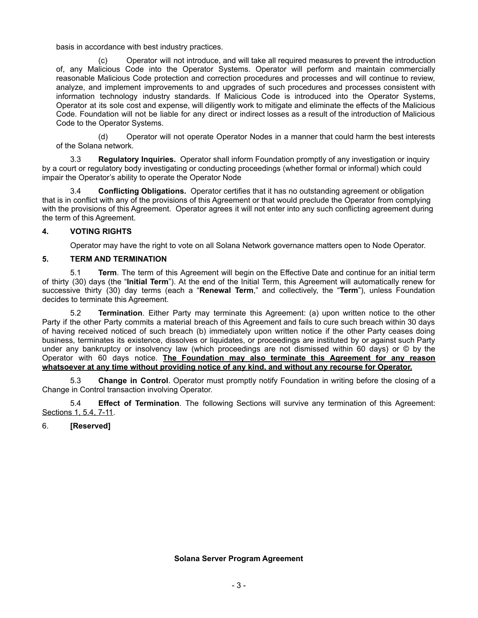basis in accordance with best industry practices.

(c) Operator will not introduce, and will take all required measures to prevent the introduction of, any Malicious Code into the Operator Systems. Operator will perform and maintain commercially reasonable Malicious Code protection and correction procedures and processes and will continue to review, analyze, and implement improvements to and upgrades of such procedures and processes consistent with information technology industry standards. If Malicious Code is introduced into the Operator Systems, Operator at its sole cost and expense, will diligently work to mitigate and eliminate the effects of the Malicious Code. Foundation will not be liable for any direct or indirect losses as a result of the introduction of Malicious Code to the Operator Systems.

(d) Operator will not operate Operator Nodes in a manner that could harm the best interests of the Solana network.

3.3 **Regulatory Inquiries.** Operator shall inform Foundation promptly of any investigation or inquiry by a court or regulatory body investigating or conducting proceedings (whether formal or informal) which could impair the Operator's ability to operate the Operator Node

3.4 **Conflicting Obligations.** Operator certifies that it has no outstanding agreement or obligation that is in conflict with any of the provisions of this Agreement or that would preclude the Operator from complying with the provisions of this Agreement. Operator agrees it will not enter into any such conflicting agreement during the term of this Agreement.

## **4. VOTING RIGHTS**

Operator may have the right to vote on all Solana Network governance matters open to Node Operator.

## **5. TERM AND TERMINATION**

5.1 **Term**. The term of this Agreement will begin on the Effective Date and continue for an initial term of thirty (30) days (the "**Initial Term**"). At the end of the Initial Term, this Agreement will automatically renew for successive thirty (30) day terms (each a "**Renewal Term**," and collectively, the "**Term**"), unless Foundation decides to terminate this Agreement.

5.2 **Termination**. Either Party may terminate this Agreement: (a) upon written notice to the other Party if the other Party commits a material breach of this Agreement and fails to cure such breach within 30 days of having received noticed of such breach (b) immediately upon written notice if the other Party ceases doing business, terminates its existence, dissolves or liquidates, or proceedings are instituted by or against such Party under any bankruptcy or insolvency law (which proceedings are not dismissed within 60 days) or © by the Operator with 60 days notice. **The Foundation may also terminate this Agreement for any reason whatsoever at any time without providing notice of any kind, and without any recourse for Operator.**

5.3 **Change in Control**. Operator must promptly notify Foundation in writing before the closing of a Change in Control transaction involving Operator.

5.4 **Effect of Termination**. The following Sections will survive any termination of this Agreement: Sections 1, 5.4, 7-11.

# 6. **[Reserved]**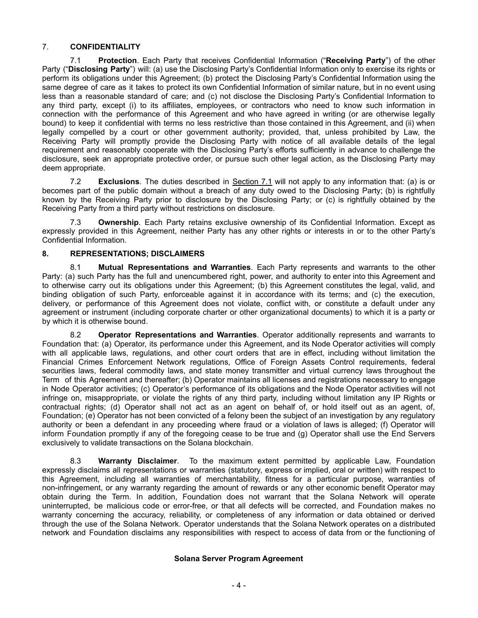# 7. **CONFIDENTIALITY**

7.1 **Protection**. Each Party that receives Confidential Information ("**Receiving Party**") of the other Party ("**Disclosing Party**") will: (a) use the Disclosing Party's Confidential Information only to exercise its rights or perform its obligations under this Agreement; (b) protect the Disclosing Party's Confidential Information using the same degree of care as it takes to protect its own Confidential Information of similar nature, but in no event using less than a reasonable standard of care; and (c) not disclose the Disclosing Party's Confidential Information to any third party, except (i) to its affiliates, employees, or contractors who need to know such information in connection with the performance of this Agreement and who have agreed in writing (or are otherwise legally bound) to keep it confidential with terms no less restrictive than those contained in this Agreement, and (ii) when legally compelled by a court or other government authority; provided, that, unless prohibited by Law, the Receiving Party will promptly provide the Disclosing Party with notice of all available details of the legal requirement and reasonably cooperate with the Disclosing Party's efforts sufficiently in advance to challenge the disclosure, seek an appropriate protective order, or pursue such other legal action, as the Disclosing Party may deem appropriate.

7.2 **Exclusions**. The duties described in Section 7.1 will not apply to any information that: (a) is or becomes part of the public domain without a breach of any duty owed to the Disclosing Party; (b) is rightfully known by the Receiving Party prior to disclosure by the Disclosing Party; or (c) is rightfully obtained by the Receiving Party from a third party without restrictions on disclosure.

7.3 **Ownership**. Each Party retains exclusive ownership of its Confidential Information. Except as expressly provided in this Agreement, neither Party has any other rights or interests in or to the other Party's Confidential Information.

# **8. REPRESENTATIONS; DISCLAIMERS**

8.1 **Mutual Representations and Warranties**. Each Party represents and warrants to the other Party: (a) such Party has the full and unencumbered right, power, and authority to enter into this Agreement and to otherwise carry out its obligations under this Agreement; (b) this Agreement constitutes the legal, valid, and binding obligation of such Party, enforceable against it in accordance with its terms; and (c) the execution, delivery, or performance of this Agreement does not violate, conflict with, or constitute a default under any agreement or instrument (including corporate charter or other organizational documents) to which it is a party or by which it is otherwise bound.

8.2 **Operator Representations and Warranties**. Operator additionally represents and warrants to Foundation that: (a) Operator, its performance under this Agreement, and its Node Operator activities will comply with all applicable laws, regulations, and other court orders that are in effect, including without limitation the Financial Crimes Enforcement Network regulations, Office of Foreign Assets Control requirements, federal securities laws, federal commodity laws, and state money transmitter and virtual currency laws throughout the Term of this Agreement and thereafter; (b) Operator maintains all licenses and registrations necessary to engage in Node Operator activities; (c) Operator's performance of its obligations and the Node Operator activities will not infringe on, misappropriate, or violate the rights of any third party, including without limitation any IP Rights or contractual rights; (d) Operator shall not act as an agent on behalf of, or hold itself out as an agent, of, Foundation; (e) Operator has not been convicted of a felony been the subject of an investigation by any regulatory authority or been a defendant in any proceeding where fraud or a violation of laws is alleged; (f) Operator will inform Foundation promptly if any of the foregoing cease to be true and (g) Operator shall use the End Servers exclusively to validate transactions on the Solana blockchain.

8.3 **Warranty Disclaimer**. To the maximum extent permitted by applicable Law, Foundation expressly disclaims all representations or warranties (statutory, express or implied, oral or written) with respect to this Agreement, including all warranties of merchantability, fitness for a particular purpose, warranties of non-infringement, or any warranty regarding the amount of rewards or any other economic benefit Operator may obtain during the Term. In addition, Foundation does not warrant that the Solana Network will operate uninterrupted, be malicious code or error-free, or that all defects will be corrected, and Foundation makes no warranty concerning the accuracy, reliability, or completeness of any information or data obtained or derived through the use of the Solana Network. Operator understands that the Solana Network operates on a distributed network and Foundation disclaims any responsibilities with respect to access of data from or the functioning of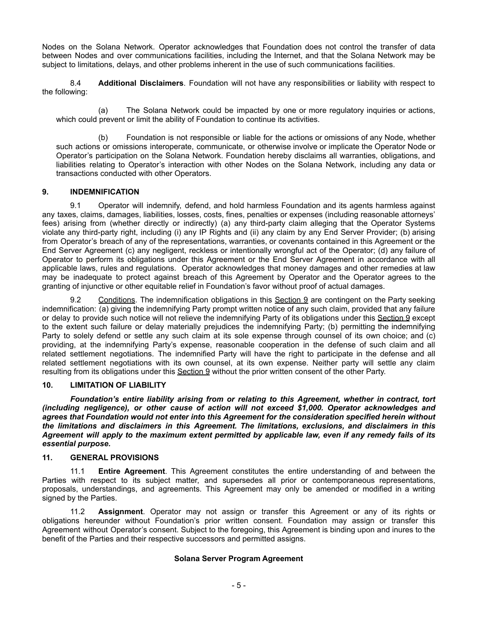Nodes on the Solana Network. Operator acknowledges that Foundation does not control the transfer of data between Nodes and over communications facilities, including the Internet, and that the Solana Network may be subject to limitations, delays, and other problems inherent in the use of such communications facilities.

8.4 **Additional Disclaimers**. Foundation will not have any responsibilities or liability with respect to the following:

(a) The Solana Network could be impacted by one or more regulatory inquiries or actions, which could prevent or limit the ability of Foundation to continue its activities.

(b) Foundation is not responsible or liable for the actions or omissions of any Node, whether such actions or omissions interoperate, communicate, or otherwise involve or implicate the Operator Node or Operator's participation on the Solana Network. Foundation hereby disclaims all warranties, obligations, and liabilities relating to Operator's interaction with other Nodes on the Solana Network, including any data or transactions conducted with other Operators.

## **9. INDEMNIFICATION**

9.1 Operator will indemnify, defend, and hold harmless Foundation and its agents harmless against any taxes, claims, damages, liabilities, losses, costs, fines, penalties or expenses (including reasonable attorneys' fees) arising from (whether directly or indirectly) (a) any third-party claim alleging that the Operator Systems violate any third-party right, including (i) any IP Rights and (ii) any claim by any End Server Provider; (b) arising from Operator's breach of any of the representations, warranties, or covenants contained in this Agreement or the End Server Agreement (c) any negligent, reckless or intentionally wrongful act of the Operator; (d) any failure of Operator to perform its obligations under this Agreement or the End Server Agreement in accordance with all applicable laws, rules and regulations. Operator acknowledges that money damages and other remedies at law may be inadequate to protect against breach of this Agreement by Operator and the Operator agrees to the granting of injunctive or other equitable relief in Foundation's favor without proof of actual damages.

9.2 Conditions. The indemnification obligations in this Section 9 are contingent on the Party seeking indemnification: (a) giving the indemnifying Party prompt written notice of any such claim, provided that any failure or delay to provide such notice will not relieve the indemnifying Party of its obligations under this Section 9 except to the extent such failure or delay materially prejudices the indemnifying Party; (b) permitting the indemnifying Party to solely defend or settle any such claim at its sole expense through counsel of its own choice; and (c) providing, at the indemnifying Party's expense, reasonable cooperation in the defense of such claim and all related settlement negotiations. The indemnified Party will have the right to participate in the defense and all related settlement negotiations with its own counsel, at its own expense. Neither party will settle any claim resulting from its obligations under this Section 9 without the prior written consent of the other Party.

#### **10. LIMITATION OF LIABILITY**

*Foundation's entire liability arising from or relating to this Agreement, whether in contract, tort (including negligence), or other cause of action will not exceed \$1,000. Operator acknowledges and agrees that Foundation would not enter into this Agreement for the consideration specified herein without the limitations and disclaimers in this Agreement. The limitations, exclusions, and disclaimers in this* Agreement will apply to the maximum extent permitted by applicable law, even if any remedy fails of its *essential purpose.*

#### **11. GENERAL PROVISIONS**

11.1 **Entire Agreement**. This Agreement constitutes the entire understanding of and between the Parties with respect to its subject matter, and supersedes all prior or contemporaneous representations, proposals, understandings, and agreements. This Agreement may only be amended or modified in a writing signed by the Parties.

11.2 **Assignment**. Operator may not assign or transfer this Agreement or any of its rights or obligations hereunder without Foundation's prior written consent. Foundation may assign or transfer this Agreement without Operator's consent. Subject to the foregoing, this Agreement is binding upon and inures to the benefit of the Parties and their respective successors and permitted assigns.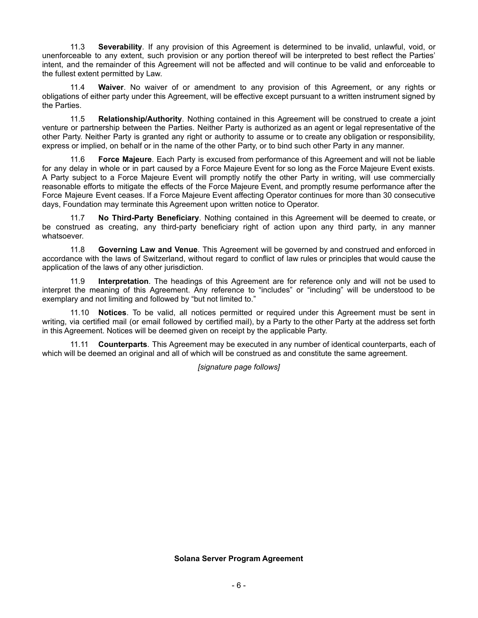11.3 **Severability**. If any provision of this Agreement is determined to be invalid, unlawful, void, or unenforceable to any extent, such provision or any portion thereof will be interpreted to best reflect the Parties' intent, and the remainder of this Agreement will not be affected and will continue to be valid and enforceable to the fullest extent permitted by Law.

11.4 **Waiver**. No waiver of or amendment to any provision of this Agreement, or any rights or obligations of either party under this Agreement, will be effective except pursuant to a written instrument signed by the Parties.

11.5 **Relationship/Authority**. Nothing contained in this Agreement will be construed to create a joint venture or partnership between the Parties. Neither Party is authorized as an agent or legal representative of the other Party. Neither Party is granted any right or authority to assume or to create any obligation or responsibility, express or implied, on behalf or in the name of the other Party, or to bind such other Party in any manner.

11.6 **Force Majeure**. Each Party is excused from performance of this Agreement and will not be liable for any delay in whole or in part caused by a Force Majeure Event for so long as the Force Majeure Event exists. A Party subject to a Force Majeure Event will promptly notify the other Party in writing, will use commercially reasonable efforts to mitigate the effects of the Force Majeure Event, and promptly resume performance after the Force Majeure Event ceases. If a Force Majeure Event affecting Operator continues for more than 30 consecutive days, Foundation may terminate this Agreement upon written notice to Operator.

11.7 **No Third-Party Beneficiary**. Nothing contained in this Agreement will be deemed to create, or be construed as creating, any third-party beneficiary right of action upon any third party, in any manner whatsoever.

11.8 **Governing Law and Venue**. This Agreement will be governed by and construed and enforced in accordance with the laws of Switzerland, without regard to conflict of law rules or principles that would cause the application of the laws of any other jurisdiction.

11.9 **Interpretation**. The headings of this Agreement are for reference only and will not be used to interpret the meaning of this Agreement. Any reference to "includes" or "including" will be understood to be exemplary and not limiting and followed by "but not limited to."

11.10 **Notices**. To be valid, all notices permitted or required under this Agreement must be sent in writing, via certified mail (or email followed by certified mail), by a Party to the other Party at the address set forth in this Agreement. Notices will be deemed given on receipt by the applicable Party.

11.11 **Counterparts**. This Agreement may be executed in any number of identical counterparts, each of which will be deemed an original and all of which will be construed as and constitute the same agreement.

*[signature page follows]*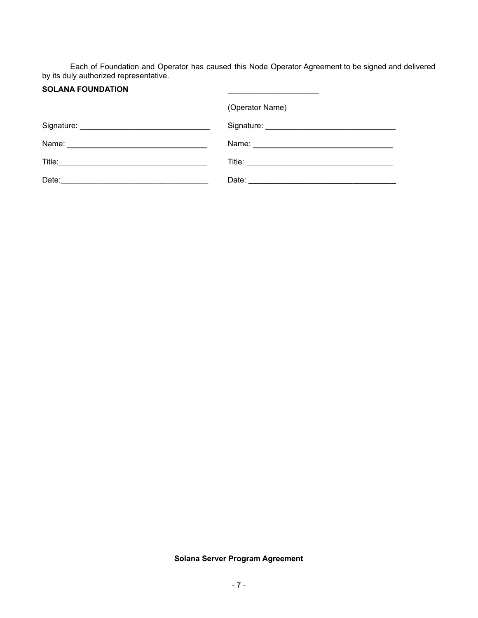Each of Foundation and Operator has caused this Node Operator Agreement to be signed and delivered by its duly authorized representative.

**\_\_\_\_\_\_\_\_\_\_\_\_\_\_\_\_\_\_\_\_\_**

# **SOLANA FOUNDATION**

|       | (Operator Name) |
|-------|-----------------|
|       |                 |
|       |                 |
|       |                 |
| Date: |                 |